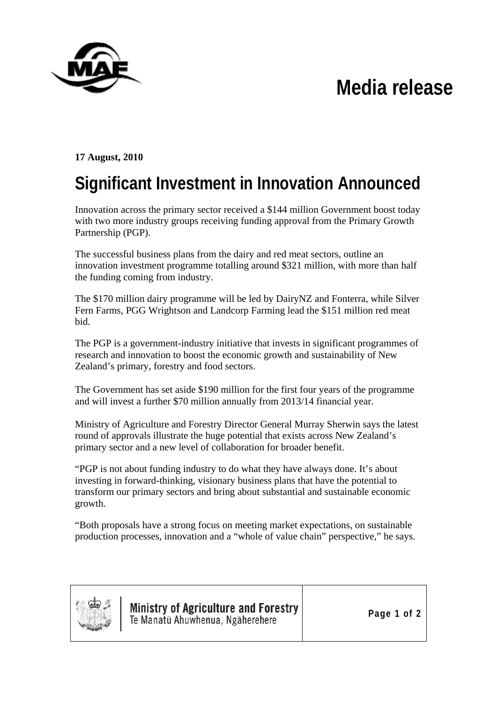## **Media release**



**17 August, 2010** 

## **Significant Investment in Innovation Announced**

Innovation across the primary sector received a \$144 million Government boost today with two more industry groups receiving funding approval from the Primary Growth Partnership (PGP).

The successful business plans from the dairy and red meat sectors, outline an innovation investment programme totalling around \$321 million, with more than half the funding coming from industry.

The \$170 million dairy programme will be led by DairyNZ and Fonterra, while Silver Fern Farms, PGG Wrightson and Landcorp Farming lead the \$151 million red meat bid.

The PGP is a government-industry initiative that invests in significant programmes of research and innovation to boost the economic growth and sustainability of New Zealand's primary, forestry and food sectors.

The Government has set aside \$190 million for the first four years of the programme and will invest a further \$70 million annually from 2013/14 financial year.

Ministry of Agriculture and Forestry Director General Murray Sherwin says the latest round of approvals illustrate the huge potential that exists across New Zealand's primary sector and a new level of collaboration for broader benefit.

"PGP is not about funding industry to do what they have always done. It's about investing in forward-thinking, visionary business plans that have the potential to transform our primary sectors and bring about substantial and sustainable economic growth.

"Both proposals have a strong focus on meeting market expectations, on sustainable production processes, innovation and a "whole of value chain" perspective," he says.



**Ministry of Agriculture and Forestry** Te Manatū Ahuwhenua, Ngāherehere